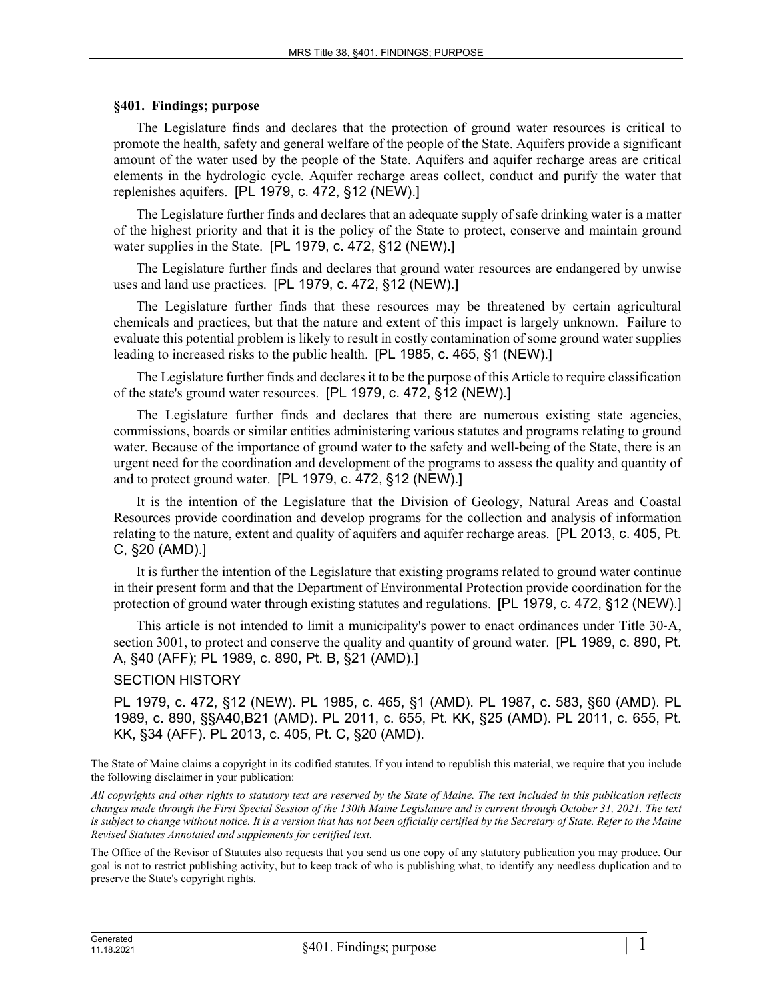## **§401. Findings; purpose**

The Legislature finds and declares that the protection of ground water resources is critical to promote the health, safety and general welfare of the people of the State. Aquifers provide a significant amount of the water used by the people of the State. Aquifers and aquifer recharge areas are critical elements in the hydrologic cycle. Aquifer recharge areas collect, conduct and purify the water that replenishes aquifers. [PL 1979, c. 472, §12 (NEW).]

The Legislature further finds and declares that an adequate supply of safe drinking water is a matter of the highest priority and that it is the policy of the State to protect, conserve and maintain ground water supplies in the State. [PL 1979, c. 472, §12 (NEW).]

The Legislature further finds and declares that ground water resources are endangered by unwise uses and land use practices. [PL 1979, c. 472, §12 (NEW).]

The Legislature further finds that these resources may be threatened by certain agricultural chemicals and practices, but that the nature and extent of this impact is largely unknown. Failure to evaluate this potential problem is likely to result in costly contamination of some ground water supplies leading to increased risks to the public health. [PL 1985, c. 465, §1 (NEW).]

The Legislature further finds and declares it to be the purpose of this Article to require classification of the state's ground water resources. [PL 1979, c. 472, §12 (NEW).]

The Legislature further finds and declares that there are numerous existing state agencies, commissions, boards or similar entities administering various statutes and programs relating to ground water. Because of the importance of ground water to the safety and well-being of the State, there is an urgent need for the coordination and development of the programs to assess the quality and quantity of and to protect ground water. [PL 1979, c. 472, §12 (NEW).]

It is the intention of the Legislature that the Division of Geology, Natural Areas and Coastal Resources provide coordination and develop programs for the collection and analysis of information relating to the nature, extent and quality of aquifers and aquifer recharge areas. [PL 2013, c. 405, Pt. C, §20 (AMD).]

It is further the intention of the Legislature that existing programs related to ground water continue in their present form and that the Department of Environmental Protection provide coordination for the protection of ground water through existing statutes and regulations. [PL 1979, c. 472, §12 (NEW).]

This article is not intended to limit a municipality's power to enact ordinances under Title 30‑A, section 3001, to protect and conserve the quality and quantity of ground water. [PL 1989, c. 890, Pt. A, §40 (AFF); PL 1989, c. 890, Pt. B, §21 (AMD).]

## SECTION HISTORY

PL 1979, c. 472, §12 (NEW). PL 1985, c. 465, §1 (AMD). PL 1987, c. 583, §60 (AMD). PL 1989, c. 890, §§A40,B21 (AMD). PL 2011, c. 655, Pt. KK, §25 (AMD). PL 2011, c. 655, Pt. KK, §34 (AFF). PL 2013, c. 405, Pt. C, §20 (AMD).

The State of Maine claims a copyright in its codified statutes. If you intend to republish this material, we require that you include the following disclaimer in your publication:

*All copyrights and other rights to statutory text are reserved by the State of Maine. The text included in this publication reflects changes made through the First Special Session of the 130th Maine Legislature and is current through October 31, 2021. The text*  is subject to change without notice. It is a version that has not been officially certified by the Secretary of State. Refer to the Maine *Revised Statutes Annotated and supplements for certified text.*

The Office of the Revisor of Statutes also requests that you send us one copy of any statutory publication you may produce. Our goal is not to restrict publishing activity, but to keep track of who is publishing what, to identify any needless duplication and to preserve the State's copyright rights.